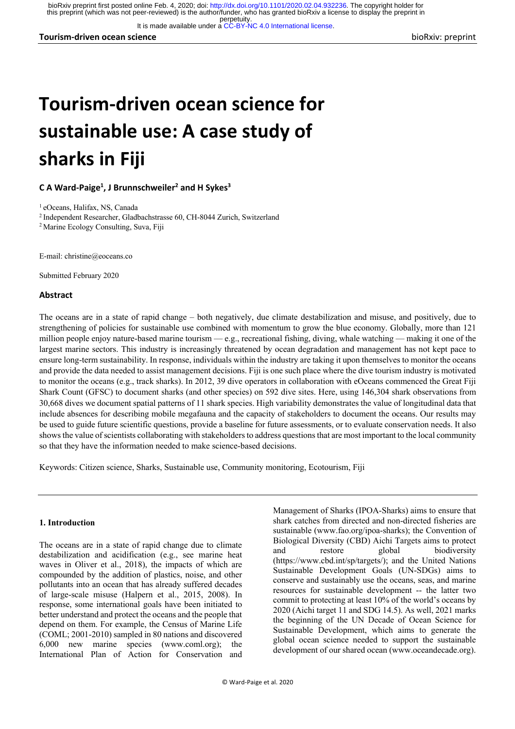It is made available under a [CC-BY-NC 4.0 International license.](http://creativecommons.org/licenses/by-nc/4.0/)

**Tourism-driven ocean science** bioRxiv: preprint

# **Tourism-driven ocean science for sustainable use: A case study of sharks in Fiji**

**C A Ward-Paige1 , J Brunnschweiler2 and H Sykes3**

1 eOceans, Halifax, NS, Canada

2 Independent Researcher, Gladbachstrasse 60, CH-8044 Zurich, Switzerland

2 Marine Ecology Consulting, Suva, Fiji

E-mail: christine@eoceans.co

Submitted February 2020

#### **Abstract**

The oceans are in a state of rapid change – both negatively, due climate destabilization and misuse, and positively, due to strengthening of policies for sustainable use combined with momentum to grow the blue economy. Globally, more than 121 million people enjoy nature-based marine tourism — e.g., recreational fishing, diving, whale watching — making it one of the largest marine sectors. This industry is increasingly threatened by ocean degradation and management has not kept pace to ensure long-term sustainability. In response, individuals within the industry are taking it upon themselves to monitor the oceans and provide the data needed to assist management decisions. Fiji is one such place where the dive tourism industry is motivated to monitor the oceans (e.g., track sharks). In 2012, 39 dive operators in collaboration with eOceans commenced the Great Fiji Shark Count (GFSC) to document sharks (and other species) on 592 dive sites. Here, using 146,304 shark observations from 30,668 dives we document spatial patterns of 11 shark species. High variability demonstrates the value of longitudinal data that include absences for describing mobile megafauna and the capacity of stakeholders to document the oceans. Our results may be used to guide future scientific questions, provide a baseline for future assessments, or to evaluate conservation needs. It also shows the value of scientists collaborating with stakeholders to address questions that are most important to the local community so that they have the information needed to make science-based decisions.

Keywords: Citizen science, Sharks, Sustainable use, Community monitoring, Ecotourism, Fiji

#### **1. Introduction**

The oceans are in a state of rapid change due to climate destabilization and acidification (e.g., see marine heat waves in Oliver et al., 2018), the impacts of which are compounded by the addition of plastics, noise, and other pollutants into an ocean that has already suffered decades of large-scale misuse (Halpern et al., 2015, 2008). In response, some international goals have been initiated to better understand and protect the oceans and the people that depend on them. For example, the Census of Marine Life (COML; 2001-2010) sampled in 80 nations and discovered 6,000 new marine species (www.coml.org); the International Plan of Action for Conservation and

Management of Sharks (IPOA-Sharks) aims to ensure that shark catches from directed and non-directed fisheries are sustainable (www.fao.org/ipoa-sharks); the Convention of Biological Diversity (CBD) Aichi Targets aims to protect and restore global biodiversity (https://www.cbd.int/sp/targets/); and the United Nations Sustainable Development Goals (UN-SDGs) aims to conserve and sustainably use the oceans, seas, and marine resources for sustainable development -- the latter two commit to protecting at least 10% of the world's oceans by 2020 (Aichi target 11 and SDG 14.5). As well, 2021 marks the beginning of the UN Decade of Ocean Science for Sustainable Development, which aims to generate the global ocean science needed to support the sustainable development of our shared ocean (www.oceandecade.org).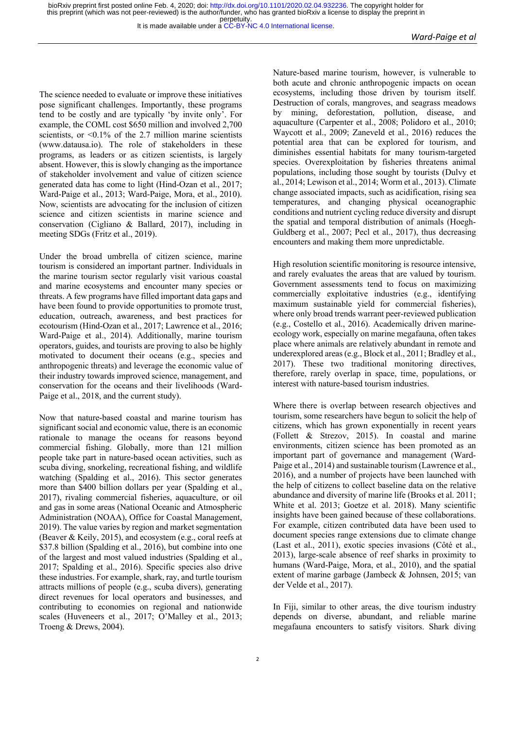It is made available under a [CC-BY-NC 4.0 International license.](http://creativecommons.org/licenses/by-nc/4.0/)

The science needed to evaluate or improve these initiatives pose significant challenges. Importantly, these programs tend to be costly and are typically 'by invite only'. For example, the COML cost \$650 million and involved 2,700 scientists, or <0.1% of the 2.7 million marine scientists (www.datausa.io). The role of stakeholders in these programs, as leaders or as citizen scientists, is largely absent. However, this is slowly changing as the importance of stakeholder involvement and value of citizen science generated data has come to light (Hind-Ozan et al., 2017; Ward-Paige et al., 2013; Ward-Paige, Mora, et al., 2010). Now, scientists are advocating for the inclusion of citizen science and citizen scientists in marine science and conservation (Cigliano & Ballard, 2017), including in meeting SDGs (Fritz et al., 2019).

Under the broad umbrella of citizen science, marine tourism is considered an important partner. Individuals in the marine tourism sector regularly visit various coastal and marine ecosystems and encounter many species or threats. A few programs have filled important data gaps and have been found to provide opportunities to promote trust, education, outreach, awareness, and best practices for ecotourism (Hind-Ozan et al., 2017; Lawrence et al., 2016; Ward-Paige et al., 2014). Additionally, marine tourism operators, guides, and tourists are proving to also be highly motivated to document their oceans (e.g., species and anthropogenic threats) and leverage the economic value of their industry towards improved science, management, and conservation for the oceans and their livelihoods (Ward-Paige et al., 2018, and the current study).

Now that nature-based coastal and marine tourism has significant social and economic value, there is an economic rationale to manage the oceans for reasons beyond commercial fishing. Globally, more than 121 million people take part in nature-based ocean activities, such as scuba diving, snorkeling, recreational fishing, and wildlife watching (Spalding et al., 2016). This sector generates more than \$400 billion dollars per year (Spalding et al., 2017), rivaling commercial fisheries, aquaculture, or oil and gas in some areas (National Oceanic and Atmospheric Administration (NOAA), Office for Coastal Management, 2019). The value varies by region and market segmentation (Beaver & Keily, 2015), and ecosystem (e.g., coral reefs at \$37.8 billion (Spalding et al., 2016), but combine into one of the largest and most valued industries (Spalding et al., 2017; Spalding et al., 2016). Specific species also drive these industries. For example, shark, ray, and turtle tourism attracts millions of people (e.g., scuba divers), generating direct revenues for local operators and businesses, and contributing to economies on regional and nationwide scales (Huveneers et al., 2017; O'Malley et al., 2013; Troeng & Drews, 2004).

Nature-based marine tourism, however, is vulnerable to both acute and chronic anthropogenic impacts on ocean ecosystems, including those driven by tourism itself. Destruction of corals, mangroves, and seagrass meadows by mining, deforestation, pollution, disease, and aquaculture (Carpenter et al., 2008; Polidoro et al., 2010; Waycott et al., 2009; Zaneveld et al., 2016) reduces the potential area that can be explored for tourism, and diminishes essential habitats for many tourism-targeted species. Overexploitation by fisheries threatens animal populations, including those sought by tourists (Dulvy et al., 2014; Lewison et al., 2014; Worm et al., 2013). Climate change associated impacts, such as acidification, rising sea temperatures, and changing physical oceanographic conditions and nutrient cycling reduce diversity and disrupt the spatial and temporal distribution of animals (Hoegh-Guldberg et al., 2007; Pecl et al., 2017), thus decreasing encounters and making them more unpredictable.

High resolution scientific monitoring is resource intensive, and rarely evaluates the areas that are valued by tourism. Government assessments tend to focus on maximizing commercially exploitative industries (e.g., identifying maximum sustainable yield for commercial fisheries), where only broad trends warrant peer-reviewed publication (e.g., Costello et al., 2016). Academically driven marineecology work, especially on marine megafauna, often takes place where animals are relatively abundant in remote and underexplored areas (e.g., Block et al., 2011; Bradley et al., 2017). These two traditional monitoring directives, therefore, rarely overlap in space, time, populations, or interest with nature-based tourism industries.

Where there is overlap between research objectives and tourism, some researchers have begun to solicit the help of citizens, which has grown exponentially in recent years (Follett & Strezov, 2015). In coastal and marine environments, citizen science has been promoted as an important part of governance and management (Ward-Paige et al., 2014) and sustainable tourism (Lawrence et al., 2016), and a number of projects have been launched with the help of citizens to collect baseline data on the relative abundance and diversity of marine life (Brooks et al. 2011; White et al. 2013; Goetze et al. 2018). Many scientific insights have been gained because of these collaborations. For example, citizen contributed data have been used to document species range extensions due to climate change (Last et al., 2011), exotic species invasions (Côté et al., 2013), large-scale absence of reef sharks in proximity to humans (Ward-Paige, Mora, et al., 2010), and the spatial extent of marine garbage (Jambeck & Johnsen, 2015; van der Velde et al., 2017).

In Fiji, similar to other areas, the dive tourism industry depends on diverse, abundant, and reliable marine megafauna encounters to satisfy visitors. Shark diving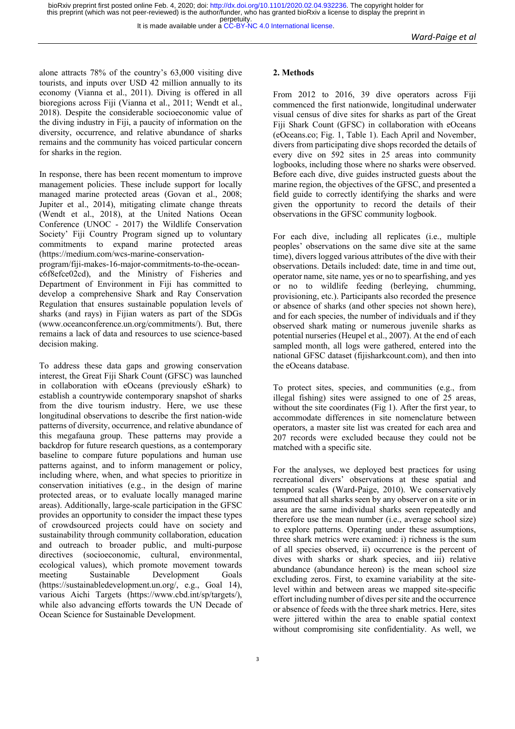alone attracts 78% of the country's 63,000 visiting dive tourists, and inputs over USD 42 million annually to its economy (Vianna et al., 2011). Diving is offered in all bioregions across Fiji (Vianna et al., 2011; Wendt et al., 2018). Despite the considerable socioeconomic value of the diving industry in Fiji, a paucity of information on the diversity, occurrence, and relative abundance of sharks remains and the community has voiced particular concern for sharks in the region.

In response, there has been recent momentum to improve management policies. These include support for locally managed marine protected areas (Govan et al., 2008; Jupiter et al., 2014), mitigating climate change threats (Wendt et al., 2018), at the United Nations Ocean Conference (UNOC - 2017) the Wildlife Conservation Society' Fiji Country Program signed up to voluntary commitments to expand marine protected areas (https://medium.com/wcs-marine-conservation-

program/fiji-makes-16-major-commitments-to-the-oceanc6f8efce02cd), and the Ministry of Fisheries and Department of Environment in Fiji has committed to develop a comprehensive Shark and Ray Conservation Regulation that ensures sustainable population levels of sharks (and rays) in Fijian waters as part of the SDGs (www.oceanconference.un.org/commitments/). But, there remains a lack of data and resources to use science-based decision making.

To address these data gaps and growing conservation interest, the Great Fiji Shark Count (GFSC) was launched in collaboration with eOceans (previously eShark) to establish a countrywide contemporary snapshot of sharks from the dive tourism industry. Here, we use these longitudinal observations to describe the first nation-wide patterns of diversity, occurrence, and relative abundance of this megafauna group. These patterns may provide a backdrop for future research questions, as a contemporary baseline to compare future populations and human use patterns against, and to inform management or policy, including where, when, and what species to prioritize in conservation initiatives (e.g., in the design of marine protected areas, or to evaluate locally managed marine areas). Additionally, large-scale participation in the GFSC provides an opportunity to consider the impact these types of crowdsourced projects could have on society and sustainability through community collaboration, education and outreach to broader public, and multi-purpose directives (socioeconomic, cultural, environmental, ecological values), which promote movement towards meeting Sustainable Development Goals (https://sustainabledevelopment.un.org/, e.g., Goal 14), various Aichi Targets (https://www.cbd.int/sp/targets/), while also advancing efforts towards the UN Decade of Ocean Science for Sustainable Development.

#### **2. Methods**

From 2012 to 2016, 39 dive operators across Fiji commenced the first nationwide, longitudinal underwater visual census of dive sites for sharks as part of the Great Fiji Shark Count (GFSC) in collaboration with eOceans (eOceans.co; Fig. 1, Table 1). Each April and November, divers from participating dive shops recorded the details of every dive on 592 sites in 25 areas into community logbooks, including those where no sharks were observed. Before each dive, dive guides instructed guests about the marine region, the objectives of the GFSC, and presented a field guide to correctly identifying the sharks and were given the opportunity to record the details of their observations in the GFSC community logbook.

For each dive, including all replicates (i.e., multiple peoples' observations on the same dive site at the same time), divers logged various attributes of the dive with their observations. Details included: date, time in and time out, operator name, site name, yes or no to spearfishing, and yes or no to wildlife feeding (berleying, chumming, provisioning, etc.). Participants also recorded the presence or absence of sharks (and other species not shown here), and for each species, the number of individuals and if they observed shark mating or numerous juvenile sharks as potential nurseries (Heupel et al., 2007). At the end of each sampled month, all logs were gathered, entered into the national GFSC dataset (fijisharkcount.com), and then into the eOceans database.

To protect sites, species, and communities (e.g., from illegal fishing) sites were assigned to one of 25 areas, without the site coordinates (Fig 1). After the first year, to accommodate differences in site nomenclature between operators, a master site list was created for each area and 207 records were excluded because they could not be matched with a specific site.

For the analyses, we deployed best practices for using recreational divers' observations at these spatial and temporal scales (Ward-Paige, 2010). We conservatively assumed that all sharks seen by any observer on a site or in area are the same individual sharks seen repeatedly and therefore use the mean number (i.e., average school size) to explore patterns. Operating under these assumptions, three shark metrics were examined: i) richness is the sum of all species observed, ii) occurrence is the percent of dives with sharks or shark species, and iii) relative abundance (abundance hereon) is the mean school size excluding zeros. First, to examine variability at the sitelevel within and between areas we mapped site-specific effort including number of dives per site and the occurrence or absence of feeds with the three shark metrics. Here, sites were jittered within the area to enable spatial context without compromising site confidentiality. As well, we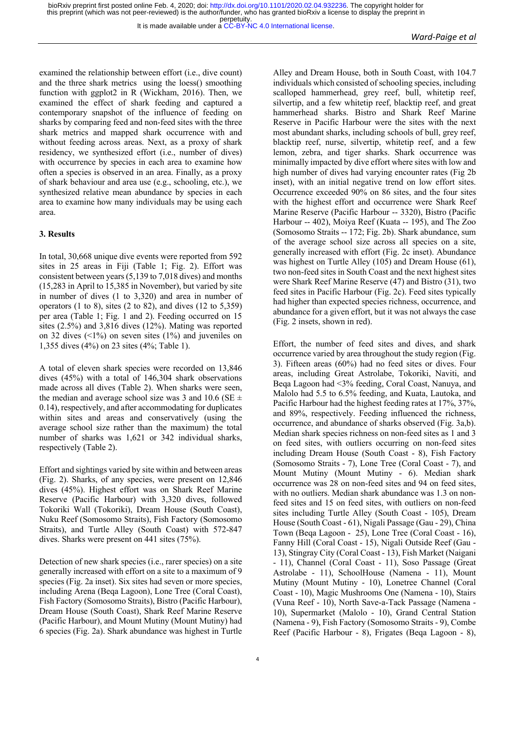examined the relationship between effort (i.e., dive count) and the three shark metrics using the loess() smoothing function with ggplot2 in R (Wickham, 2016). Then, we examined the effect of shark feeding and captured a contemporary snapshot of the influence of feeding on sharks by comparing feed and non-feed sites with the three shark metrics and mapped shark occurrence with and without feeding across areas. Next, as a proxy of shark residency, we synthesized effort (i.e., number of dives) with occurrence by species in each area to examine how often a species is observed in an area. Finally, as a proxy of shark behaviour and area use (e.g., schooling, etc.), we synthesized relative mean abundance by species in each area to examine how many individuals may be using each area.

#### **3. Results**

In total, 30,668 unique dive events were reported from 592 sites in 25 areas in Fiji (Table 1; Fig. 2). Effort was consistent between years (5,139 to 7,018 dives) and months (15,283 in April to 15,385 in November), but varied by site in number of dives (1 to 3,320) and area in number of operators  $(1 \text{ to } 8)$ , sites  $(2 \text{ to } 82)$ , and dives  $(12 \text{ to } 5,359)$ per area (Table 1; Fig. 1 and 2). Feeding occurred on 15 sites (2.5%) and 3,816 dives (12%). Mating was reported on 32 dives  $($  <math>1\%</math>) on seven sites  $(1\%)$  and juveniles on 1,355 dives (4%) on 23 sites (4%; Table 1).

A total of eleven shark species were recorded on 13,846 dives (45%) with a total of 146,304 shark observations made across all dives (Table 2). When sharks were seen, the median and average school size was 3 and 10.6 (SE  $\pm$ 0.14), respectively, and after accommodating for duplicates within sites and areas and conservatively (using the average school size rather than the maximum) the total number of sharks was 1,621 or 342 individual sharks, respectively (Table 2).

Effort and sightings varied by site within and between areas (Fig. 2). Sharks, of any species, were present on 12,846 dives (45%). Highest effort was on Shark Reef Marine Reserve (Pacific Harbour) with 3,320 dives, followed Tokoriki Wall (Tokoriki), Dream House (South Coast), Nuku Reef (Somosomo Straits), Fish Factory (Somosomo Straits), and Turtle Alley (South Coast) with 572-847 dives. Sharks were present on 441 sites (75%).

Detection of new shark species (i.e., rarer species) on a site generally increased with effort on a site to a maximum of 9 species (Fig. 2a inset). Six sites had seven or more species, including Arena (Beqa Lagoon), Lone Tree (Coral Coast), Fish Factory (Somosomo Straits), Bistro (Pacific Harbour), Dream House (South Coast), Shark Reef Marine Reserve (Pacific Harbour), and Mount Mutiny (Mount Mutiny) had 6 species (Fig. 2a). Shark abundance was highest in Turtle

Alley and Dream House, both in South Coast, with 104.7 individuals which consisted of schooling species, including scalloped hammerhead, grey reef, bull, whitetip reef, silvertip, and a few whitetip reef, blacktip reef, and great hammerhead sharks. Bistro and Shark Reef Marine Reserve in Pacific Harbour were the sites with the next most abundant sharks, including schools of bull, grey reef, blacktip reef, nurse, silvertip, whitetip reef, and a few lemon, zebra, and tiger sharks. Shark occurrence was minimally impacted by dive effort where sites with low and high number of dives had varying encounter rates (Fig 2b inset), with an initial negative trend on low effort sites. Occurrence exceeded 90% on 86 sites, and the four sites with the highest effort and occurrence were Shark Reef Marine Reserve (Pacific Harbour -- 3320), Bistro (Pacific Harbour -- 402), Moiya Reef (Kuata -- 195), and The Zoo (Somosomo Straits -- 172; Fig. 2b). Shark abundance, sum of the average school size across all species on a site, generally increased with effort (Fig. 2c inset). Abundance was highest on Turtle Alley (105) and Dream House (61), two non-feed sites in South Coast and the next highest sites were Shark Reef Marine Reserve (47) and Bistro (31), two feed sites in Pacific Harbour (Fig. 2c). Feed sites typically had higher than expected species richness, occurrence, and abundance for a given effort, but it was not always the case (Fig. 2 insets, shown in red).

Effort, the number of feed sites and dives, and shark occurrence varied by area throughout the study region (Fig. 3). Fifteen areas (60%) had no feed sites or dives. Four areas, including Great Astrolabe, Tokoriki, Naviti, and Beqa Lagoon had <3% feeding, Coral Coast, Nanuya, and Malolo had 5.5 to 6.5% feeding, and Kuata, Lautoka, and Pacific Harbour had the highest feeding rates at 17%, 37%, and 89%, respectively. Feeding influenced the richness, occurrence, and abundance of sharks observed (Fig. 3a,b). Median shark species richness on non-feed sites as 1 and 3 on feed sites, with outliers occurring on non-feed sites including Dream House (South Coast - 8), Fish Factory (Somosomo Straits - 7), Lone Tree (Coral Coast - 7), and Mount Mutiny (Mount Mutiny - 6). Median shark occurrence was 28 on non-feed sites and 94 on feed sites, with no outliers. Median shark abundance was 1.3 on nonfeed sites and 15 on feed sites, with outliers on non-feed sites including Turtle Alley (South Coast - 105), Dream House (South Coast - 61), Nigali Passage (Gau - 29), China Town (Beqa Lagoon - 25), Lone Tree (Coral Coast - 16), Fanny Hill (Coral Coast - 15), Nigali Outside Reef (Gau - 13), Stingray City (Coral Coast - 13), Fish Market (Naigani - 11), Channel (Coral Coast - 11), Soso Passage (Great Astrolabe - 11), SchoolHouse (Namena - 11), Mount Mutiny (Mount Mutiny - 10), Lonetree Channel (Coral Coast - 10), Magic Mushrooms One (Namena - 10), Stairs (Vuna Reef - 10), North Save-a-Tack Passage (Namena - 10), Supermarket (Malolo - 10), Grand Central Station (Namena - 9), Fish Factory (Somosomo Straits - 9), Combe Reef (Pacific Harbour - 8), Frigates (Beqa Lagoon - 8),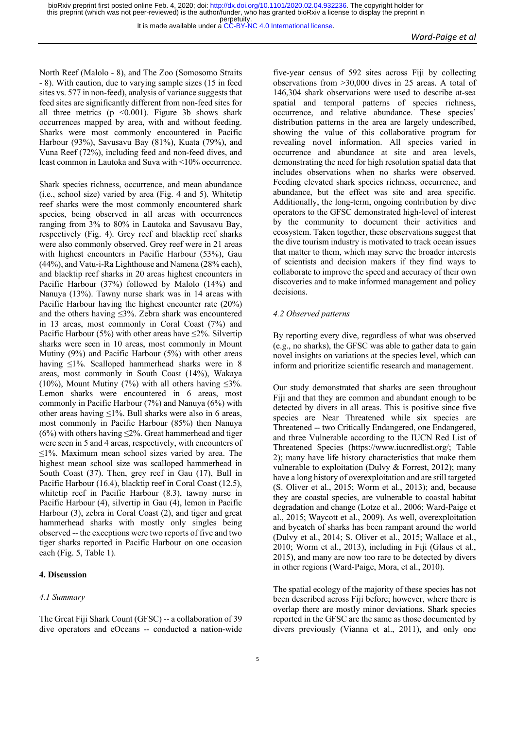It is made available under a [CC-BY-NC 4.0 International license.](http://creativecommons.org/licenses/by-nc/4.0/)

North Reef (Malolo - 8), and The Zoo (Somosomo Straits - 8). With caution, due to varying sample sizes (15 in feed sites vs. 577 in non-feed), analysis of variance suggests that feed sites are significantly different from non-feed sites for all three metrics ( $p \le 0.001$ ). Figure 3b shows shark occurrences mapped by area, with and without feeding. Sharks were most commonly encountered in Pacific Harbour (93%), Savusavu Bay (81%), Kuata (79%), and Vuna Reef (72%), including feed and non-feed dives, and least common in Lautoka and Suva with <10% occurrence.

Shark species richness, occurrence, and mean abundance (i.e., school size) varied by area (Fig. 4 and 5). Whitetip reef sharks were the most commonly encountered shark species, being observed in all areas with occurrences ranging from 3% to 80% in Lautoka and Savusavu Bay, respectively (Fig. 4). Grey reef and blacktip reef sharks were also commonly observed. Grey reef were in 21 areas with highest encounters in Pacific Harbour (53%), Gau (44%), and Vatu-i-Ra Lighthouse and Namena (28% each), and blacktip reef sharks in 20 areas highest encounters in Pacific Harbour (37%) followed by Malolo (14%) and Nanuya (13%). Tawny nurse shark was in 14 areas with Pacific Harbour having the highest encounter rate (20%) and the others having ≤3%. Zebra shark was encountered in 13 areas, most commonly in Coral Coast (7%) and Pacific Harbour (5%) with other areas have  $\leq$ 2%. Silvertip sharks were seen in 10 areas, most commonly in Mount Mutiny (9%) and Pacific Harbour (5%) with other areas having ≤1%. Scalloped hammerhead sharks were in 8 areas, most commonly in South Coast (14%), Wakaya (10%), Mount Mutiny (7%) with all others having  $\leq$ 3%. Lemon sharks were encountered in 6 areas, most commonly in Pacific Harbour (7%) and Nanuya (6%) with other areas having ≤1%. Bull sharks were also in 6 areas, most commonly in Pacific Harbour (85%) then Nanuya (6%) with others having  $\leq$ 2%. Great hammerhead and tiger were seen in 5 and 4 areas, respectively, with encounters of  $\leq$ 1%. Maximum mean school sizes varied by area. The highest mean school size was scalloped hammerhead in South Coast (37). Then, grey reef in Gau (17), Bull in Pacific Harbour (16.4), blacktip reef in Coral Coast (12.5), whitetip reef in Pacific Harbour (8.3), tawny nurse in Pacific Harbour (4), silvertip in Gau (4), lemon in Pacific Harbour (3), zebra in Coral Coast (2), and tiger and great hammerhead sharks with mostly only singles being observed -- the exceptions were two reports of five and two tiger sharks reported in Pacific Harbour on one occasion each (Fig. 5, Table 1).

### **4. Discussion**

#### *4.1 Summary*

The Great Fiji Shark Count (GFSC) -- a collaboration of 39 dive operators and eOceans -- conducted a nation-wide five-year census of 592 sites across Fiji by collecting observations from >30,000 dives in 25 areas. A total of 146,304 shark observations were used to describe at-sea spatial and temporal patterns of species richness, occurrence, and relative abundance. These species' distribution patterns in the area are largely undescribed, showing the value of this collaborative program for revealing novel information. All species varied in occurrence and abundance at site and area levels, demonstrating the need for high resolution spatial data that includes observations when no sharks were observed. Feeding elevated shark species richness, occurrence, and abundance, but the effect was site and area specific. Additionally, the long-term, ongoing contribution by dive operators to the GFSC demonstrated high-level of interest by the community to document their activities and ecosystem. Taken together, these observations suggest that the dive tourism industry is motivated to track ocean issues that matter to them, which may serve the broader interests of scientists and decision makers if they find ways to collaborate to improve the speed and accuracy of their own discoveries and to make informed management and policy decisions.

#### *4.2 Observed patterns*

By reporting every dive, regardless of what was observed (e.g., no sharks), the GFSC was able to gather data to gain novel insights on variations at the species level, which can inform and prioritize scientific research and management.

Our study demonstrated that sharks are seen throughout Fiji and that they are common and abundant enough to be detected by divers in all areas. This is positive since five species are Near Threatened while six species are Threatened -- two Critically Endangered, one Endangered, and three Vulnerable according to the IUCN Red List of Threatened Species (https://www.iucnredlist.org/; Table 2); many have life history characteristics that make them vulnerable to exploitation (Dulvy & Forrest, 2012); many have a long history of overexploitation and are still targeted (S. Oliver et al., 2015; Worm et al., 2013); and, because they are coastal species, are vulnerable to coastal habitat degradation and change (Lotze et al., 2006; Ward-Paige et al., 2015; Waycott et al., 2009). As well, overexploitation and bycatch of sharks has been rampant around the world (Dulvy et al., 2014; S. Oliver et al., 2015; Wallace et al., 2010; Worm et al., 2013), including in Fiji (Glaus et al., 2015), and many are now too rare to be detected by divers in other regions (Ward-Paige, Mora, et al., 2010).

The spatial ecology of the majority of these species has not been described across Fiji before; however, where there is overlap there are mostly minor deviations. Shark species reported in the GFSC are the same as those documented by divers previously (Vianna et al., 2011), and only one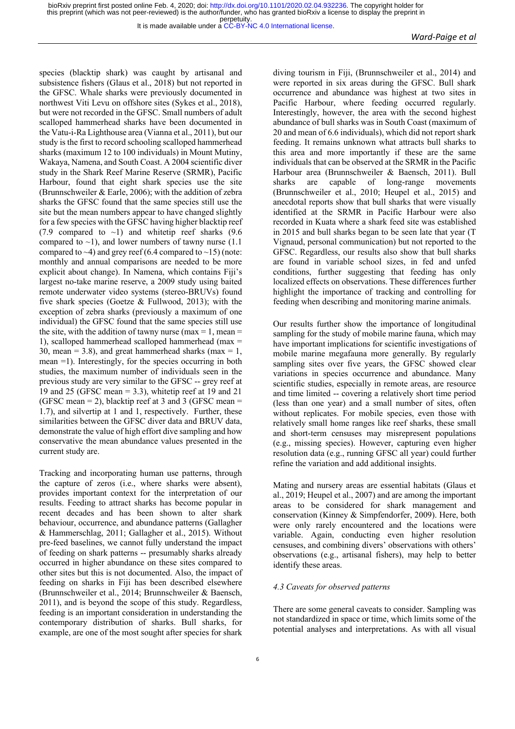species (blacktip shark) was caught by artisanal and subsistence fishers (Glaus et al., 2018) but not reported in the GFSC. Whale sharks were previously documented in northwest Viti Levu on offshore sites (Sykes et al., 2018), but were not recorded in the GFSC. Small numbers of adult scalloped hammerhead sharks have been documented in the Vatu-i-Ra Lighthouse area (Vianna et al., 2011), but our study is the first to record schooling scalloped hammerhead sharks (maximum 12 to 100 individuals) in Mount Mutiny, Wakaya, Namena, and South Coast. A 2004 scientific diver study in the Shark Reef Marine Reserve (SRMR), Pacific Harbour, found that eight shark species use the site (Brunnschweiler & Earle, 2006); with the addition of zebra sharks the GFSC found that the same species still use the site but the mean numbers appear to have changed slightly for a few species with the GFSC having higher blacktip reef (7.9 compared to  $\sim$ 1) and whitetip reef sharks (9.6 compared to  $\sim$ 1), and lower numbers of tawny nurse (1.1) compared to  $\sim$ 4) and grey reef (6.4 compared to  $\sim$ 15) (note: monthly and annual comparisons are needed to be more explicit about change). In Namena, which contains Fiji's largest no-take marine reserve, a 2009 study using baited remote underwater video systems (stereo-BRUVs) found five shark species (Goetze  $&$  Fullwood, 2013); with the exception of zebra sharks (previously a maximum of one individual) the GFSC found that the same species still use the site, with the addition of tawny nurse (max  $= 1$ , mean  $=$ 1), scalloped hammerhead scalloped hammerhead (max = 30, mean = 3.8), and great hammerhead sharks (max = 1, mean =1). Interestingly, for the species occurring in both studies, the maximum number of individuals seen in the previous study are very similar to the GFSC -- grey reef at 19 and 25 (GFSC mean = 3.3), whitetip reef at 19 and 21 (GFSC mean  $= 2$ ), blacktip reef at 3 and 3 (GFSC mean  $=$ 1.7), and silvertip at 1 and 1, respectively. Further, these similarities between the GFSC diver data and BRUV data, demonstrate the value of high effort dive sampling and how conservative the mean abundance values presented in the current study are.

Tracking and incorporating human use patterns, through the capture of zeros (i.e., where sharks were absent), provides important context for the interpretation of our results. Feeding to attract sharks has become popular in recent decades and has been shown to alter shark behaviour, occurrence, and abundance patterns (Gallagher & Hammerschlag, 2011; Gallagher et al., 2015). Without pre-feed baselines, we cannot fully understand the impact of feeding on shark patterns -- presumably sharks already occurred in higher abundance on these sites compared to other sites but this is not documented. Also, the impact of feeding on sharks in Fiji has been described elsewhere (Brunnschweiler et al., 2014; Brunnschweiler & Baensch, 2011), and is beyond the scope of this study. Regardless, feeding is an important consideration in understanding the contemporary distribution of sharks. Bull sharks, for example, are one of the most sought after species for shark diving tourism in Fiji, (Brunnschweiler et al., 2014) and were reported in six areas during the GFSC. Bull shark occurrence and abundance was highest at two sites in Pacific Harbour, where feeding occurred regularly. Interestingly, however, the area with the second highest abundance of bull sharks was in South Coast (maximum of 20 and mean of 6.6 individuals), which did not report shark feeding. It remains unknown what attracts bull sharks to this area and more importantly if these are the same individuals that can be observed at the SRMR in the Pacific Harbour area (Brunnschweiler & Baensch, 2011). Bull sharks are capable of long-range movements (Brunnschweiler et al., 2010; Heupel et al., 2015) and anecdotal reports show that bull sharks that were visually identified at the SRMR in Pacific Harbour were also recorded in Kuata where a shark feed site was established in 2015 and bull sharks began to be seen late that year (T Vignaud, personal communication) but not reported to the GFSC. Regardless, our results also show that bull sharks are found in variable school sizes, in fed and unfed conditions, further suggesting that feeding has only localized effects on observations. These differences further highlight the importance of tracking and controlling for feeding when describing and monitoring marine animals.

Our results further show the importance of longitudinal sampling for the study of mobile marine fauna, which may have important implications for scientific investigations of mobile marine megafauna more generally. By regularly sampling sites over five years, the GFSC showed clear variations in species occurrence and abundance. Many scientific studies, especially in remote areas, are resource and time limited -- covering a relatively short time period (less than one year) and a small number of sites, often without replicates. For mobile species, even those with relatively small home ranges like reef sharks, these small and short-term censuses may misrepresent populations (e.g., missing species). However, capturing even higher resolution data (e.g., running GFSC all year) could further refine the variation and add additional insights.

Mating and nursery areas are essential habitats (Glaus et al., 2019; Heupel et al., 2007) and are among the important areas to be considered for shark management and conservation (Kinney & Simpfendorfer, 2009). Here, both were only rarely encountered and the locations were variable. Again, conducting even higher resolution censuses, and combining divers' observations with others' observations (e.g., artisanal fishers), may help to better identify these areas.

#### *4.3 Caveats for observed patterns*

There are some general caveats to consider. Sampling was not standardized in space or time, which limits some of the potential analyses and interpretations. As with all visual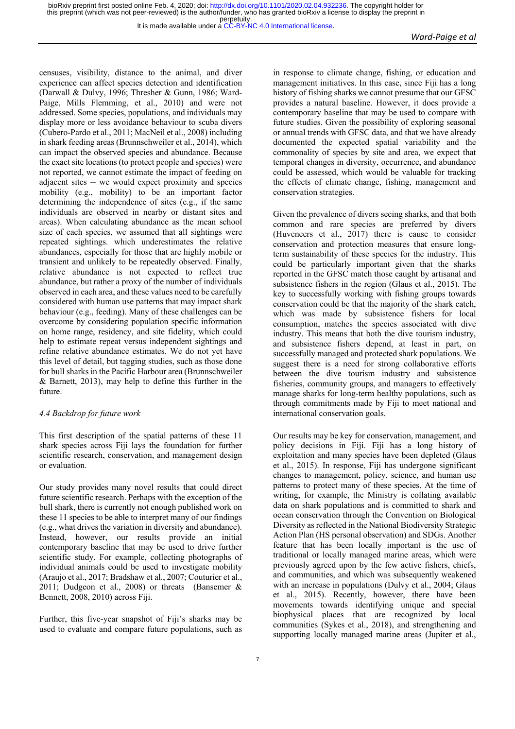censuses, visibility, distance to the animal, and diver experience can affect species detection and identification (Darwall & Dulvy, 1996; Thresher & Gunn, 1986; Ward-Paige, Mills Flemming, et al., 2010) and were not addressed. Some species, populations, and individuals may display more or less avoidance behaviour to scuba divers (Cubero-Pardo et al., 2011; MacNeil et al., 2008) including in shark feeding areas (Brunnschweiler et al., 2014), which can impact the observed species and abundance. Because the exact site locations (to protect people and species) were not reported, we cannot estimate the impact of feeding on adjacent sites -- we would expect proximity and species mobility (e.g., mobility) to be an important factor determining the independence of sites (e.g., if the same individuals are observed in nearby or distant sites and areas). When calculating abundance as the mean school size of each species, we assumed that all sightings were repeated sightings. which underestimates the relative abundances, especially for those that are highly mobile or transient and unlikely to be repeatedly observed. Finally, relative abundance is not expected to reflect true abundance, but rather a proxy of the number of individuals observed in each area, and these values need to be carefully considered with human use patterns that may impact shark behaviour (e.g., feeding). Many of these challenges can be overcome by considering population specific information on home range, residency, and site fidelity, which could help to estimate repeat versus independent sightings and refine relative abundance estimates. We do not yet have this level of detail, but tagging studies, such as those done for bull sharks in the Pacific Harbour area (Brunnschweiler & Barnett, 2013), may help to define this further in the future.

# *4.4 Backdrop for future work*

This first description of the spatial patterns of these 11 shark species across Fiji lays the foundation for further scientific research, conservation, and management design or evaluation.

Our study provides many novel results that could direct future scientific research. Perhaps with the exception of the bull shark, there is currently not enough published work on these 11 species to be able to interpret many of our findings (e.g., what drives the variation in diversity and abundance). Instead, however, our results provide an initial contemporary baseline that may be used to drive further scientific study. For example, collecting photographs of individual animals could be used to investigate mobility (Araujo et al., 2017; Bradshaw et al., 2007; Couturier et al., 2011; Dudgeon et al., 2008) or threats (Bansemer & Bennett, 2008, 2010) across Fiji.

Further, this five-year snapshot of Fiji's sharks may be used to evaluate and compare future populations, such as in response to climate change, fishing, or education and management initiatives. In this case, since Fiji has a long history of fishing sharks we cannot presume that our GFSC provides a natural baseline. However, it does provide a contemporary baseline that may be used to compare with future studies. Given the possibility of exploring seasonal or annual trends with GFSC data, and that we have already documented the expected spatial variability and the commonality of species by site and area, we expect that temporal changes in diversity, occurrence, and abundance could be assessed, which would be valuable for tracking the effects of climate change, fishing, management and conservation strategies.

Given the prevalence of divers seeing sharks, and that both common and rare species are preferred by divers (Huveneers et al., 2017) there is cause to consider conservation and protection measures that ensure longterm sustainability of these species for the industry. This could be particularly important given that the sharks reported in the GFSC match those caught by artisanal and subsistence fishers in the region (Glaus et al., 2015). The key to successfully working with fishing groups towards conservation could be that the majority of the shark catch, which was made by subsistence fishers for local consumption, matches the species associated with dive industry. This means that both the dive tourism industry, and subsistence fishers depend, at least in part, on successfully managed and protected shark populations. We suggest there is a need for strong collaborative efforts between the dive tourism industry and subsistence fisheries, community groups, and managers to effectively manage sharks for long-term healthy populations, such as through commitments made by Fiji to meet national and international conservation goals.

Our results may be key for conservation, management, and policy decisions in Fiji. Fiji has a long history of exploitation and many species have been depleted (Glaus et al., 2015). In response, Fiji has undergone significant changes to management, policy, science, and human use patterns to protect many of these species. At the time of writing, for example, the Ministry is collating available data on shark populations and is committed to shark and ocean conservation through the Convention on Biological Diversity as reflected in the National Biodiversity Strategic Action Plan (HS personal observation) and SDGs. Another feature that has been locally important is the use of traditional or locally managed marine areas, which were previously agreed upon by the few active fishers, chiefs, and communities, and which was subsequently weakened with an increase in populations (Dulvy et al., 2004; Glaus et al., 2015). Recently, however, there have been movements towards identifying unique and special biophysical places that are recognized by local communities (Sykes et al., 2018), and strengthening and supporting locally managed marine areas (Jupiter et al.,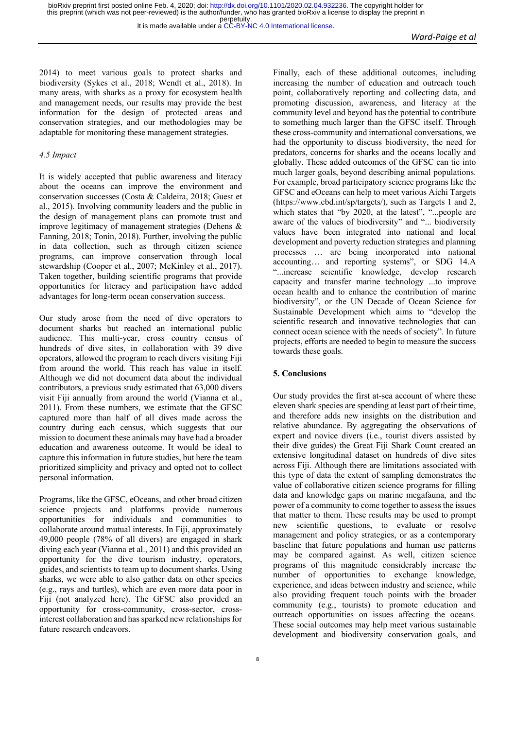2014) to meet various goals to protect sharks and biodiversity (Sykes et al., 2018; Wendt et al., 2018). In many areas, with sharks as a proxy for ecosystem health and management needs, our results may provide the best information for the design of protected areas and conservation strategies, and our methodologies may be adaptable for monitoring these management strategies.

#### *4.5 Impact*

It is widely accepted that public awareness and literacy about the oceans can improve the environment and conservation successes (Costa & Caldeira, 2018; Guest et al., 2015). Involving community leaders and the public in the design of management plans can promote trust and improve legitimacy of management strategies (Dehens & Fanning, 2018; Tonin, 2018). Further, involving the public in data collection, such as through citizen science programs, can improve conservation through local stewardship (Cooper et al., 2007; McKinley et al., 2017). Taken together, building scientific programs that provide opportunities for literacy and participation have added advantages for long-term ocean conservation success.

Our study arose from the need of dive operators to document sharks but reached an international public audience. This multi-year, cross country census of hundreds of dive sites, in collaboration with 39 dive operators, allowed the program to reach divers visiting Fiji from around the world. This reach has value in itself. Although we did not document data about the individual contributors, a previous study estimated that 63,000 divers visit Fiji annually from around the world (Vianna et al., 2011). From these numbers, we estimate that the GFSC captured more than half of all dives made across the country during each census, which suggests that our mission to document these animals may have had a broader education and awareness outcome. It would be ideal to capture this information in future studies, but here the team prioritized simplicity and privacy and opted not to collect personal information.

Programs, like the GFSC, eOceans, and other broad citizen science projects and platforms provide numerous opportunities for individuals and communities to collaborate around mutual interests. In Fiji, approximately 49,000 people (78% of all divers) are engaged in shark diving each year (Vianna et al., 2011) and this provided an opportunity for the dive tourism industry, operators, guides, and scientists to team up to document sharks. Using sharks, we were able to also gather data on other species (e.g., rays and turtles), which are even more data poor in Fiji (not analyzed here). The GFSC also provided an opportunity for cross-community, cross-sector, crossinterest collaboration and has sparked new relationships for future research endeavors.

Finally, each of these additional outcomes, including increasing the number of education and outreach touch point, collaboratively reporting and collecting data, and promoting discussion, awareness, and literacy at the community level and beyond has the potential to contribute to something much larger than the GFSC itself. Through these cross-community and international conversations, we had the opportunity to discuss biodiversity, the need for predators, concerns for sharks and the oceans locally and globally. These added outcomes of the GFSC can tie into much larger goals, beyond describing animal populations. For example, broad participatory science programs like the GFSC and eOceans can help to meet various Aichi Targets (https://www.cbd.int/sp/targets/), such as Targets 1 and 2, which states that "by 2020, at the latest", "...people are aware of the values of biodiversity" and "... biodiversity values have been integrated into national and local development and poverty reduction strategies and planning processes … are being incorporated into national accounting… and reporting systems", or SDG 14.A "...increase scientific knowledge, develop research capacity and transfer marine technology ...to improve ocean health and to enhance the contribution of marine biodiversity", or the UN Decade of Ocean Science for Sustainable Development which aims to "develop the scientific research and innovative technologies that can connect ocean science with the needs of society". In future projects, efforts are needed to begin to measure the success towards these goals.

# **5. Conclusions**

Our study provides the first at-sea account of where these eleven shark species are spending at least part of their time, and therefore adds new insights on the distribution and relative abundance. By aggregating the observations of expert and novice divers (i.e., tourist divers assisted by their dive guides) the Great Fiji Shark Count created an extensive longitudinal dataset on hundreds of dive sites across Fiji. Although there are limitations associated with this type of data the extent of sampling demonstrates the value of collaborative citizen science programs for filling data and knowledge gaps on marine megafauna, and the power of a community to come together to assess the issues that matter to them. These results may be used to prompt new scientific questions, to evaluate or resolve management and policy strategies, or as a contemporary baseline that future populations and human use patterns may be compared against. As well, citizen science programs of this magnitude considerably increase the number of opportunities to exchange knowledge, experience, and ideas between industry and science, while also providing frequent touch points with the broader community (e.g., tourists) to promote education and outreach opportunities on issues affecting the oceans. These social outcomes may help meet various sustainable development and biodiversity conservation goals, and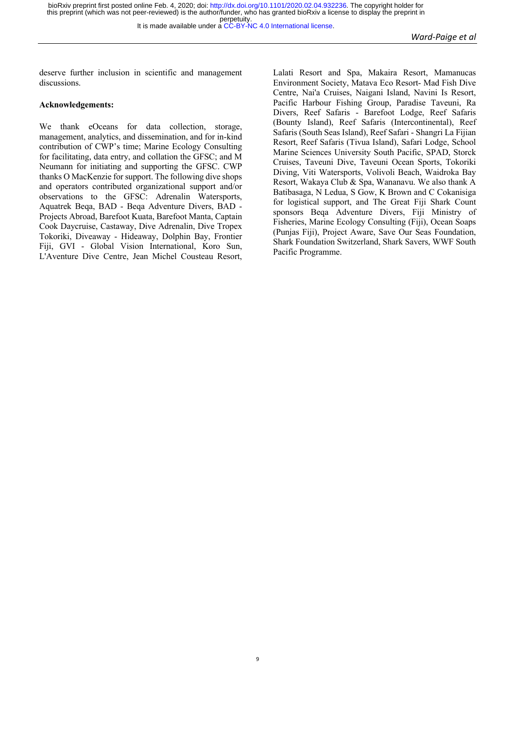9

deserve further inclusion in scientific and management discussions.

#### **Acknowledgements:**

We thank eOceans for data collection, storage, management, analytics, and dissemination, and for in-kind contribution of CWP's time; Marine Ecology Consulting for facilitating, data entry, and collation the GFSC; and M Neumann for initiating and supporting the GFSC. CWP thanks O MacKenzie for support. The following dive shops and operators contributed organizational support and/or observations to the GFSC: Adrenalin Watersports, Aquatrek Beqa, BAD - Beqa Adventure Divers, BAD - Projects Abroad, Barefoot Kuata, Barefoot Manta, Captain Cook Daycruise, Castaway, Dive Adrenalin, Dive Tropex Tokoriki, Diveaway - Hideaway, Dolphin Bay, Frontier Fiji, GVI - Global Vision International, Koro Sun, L'Aventure Dive Centre, Jean Michel Cousteau Resort, Lalati Resort and Spa, Makaira Resort, Mamanucas Environment Society, Matava Eco Resort- Mad Fish Dive Centre, Nai'a Cruises, Naigani Island, Navini Is Resort, Pacific Harbour Fishing Group, Paradise Taveuni, Ra Divers, Reef Safaris - Barefoot Lodge, Reef Safaris (Bounty Island), Reef Safaris (Intercontinental), Reef Safaris (South Seas Island), Reef Safari - Shangri La Fijian Resort, Reef Safaris (Tivua Island), Safari Lodge, School Marine Sciences University South Pacific, SPAD, Storck Cruises, Taveuni Dive, Taveuni Ocean Sports, Tokoriki Diving, Viti Watersports, Volivoli Beach, Waidroka Bay Resort, Wakaya Club & Spa, Wananavu. We also thank A Batibasaga, N Ledua, S Gow, K Brown and C Cokanisiga for logistical support, and The Great Fiji Shark Count sponsors Beqa Adventure Divers, Fiji Ministry of Fisheries, Marine Ecology Consulting (Fiji), Ocean Soaps (Punjas Fiji), Project Aware, Save Our Seas Foundation, Shark Foundation Switzerland, Shark Savers, WWF South Pacific Programme.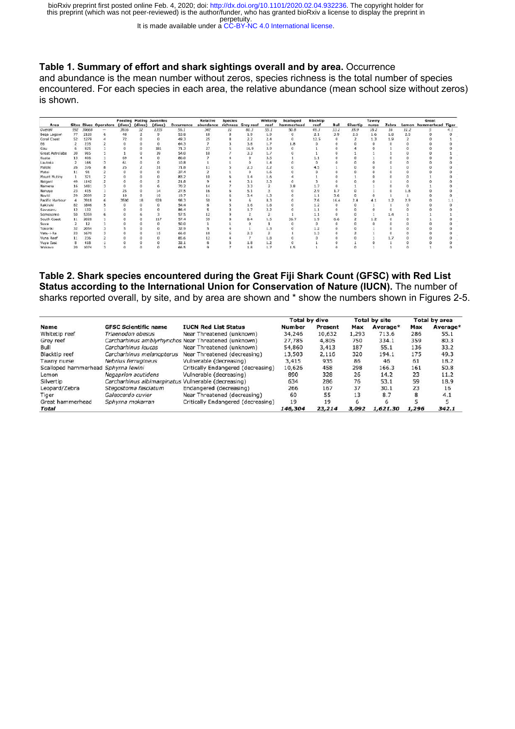It is made available under a [CC-BY-NC 4.0 International license.](http://creativecommons.org/licenses/by-nc/4.0/)

# **Table 1. Summary of effort and shark sightings overall and by area.** Occurrence

and abundance is the mean number without zeros, species richness is the total number of species encountered. For each species in each area, the relative abundance (mean school size without zeros) is shown.

| Area            |     |       | <b>Sites Dives Operators</b> | (dives) | (dives) | <b>Feeding Mating Juveniles</b><br>(dives) | Occurrence | Relative<br>abundance | <b>Species</b> | richness Grey reef | Whitetip<br>reef | Scalloped<br>hammerhead | <b>Blacktip</b><br>reef | <b>Bull</b> | Silvertip | Tawny<br>nurse | Zebra    |            | Great<br>Lemon hammerhead Tiger |  |
|-----------------|-----|-------|------------------------------|---------|---------|--------------------------------------------|------------|-----------------------|----------------|--------------------|------------------|-------------------------|-------------------------|-------------|-----------|----------------|----------|------------|---------------------------------|--|
| Overall         | 592 | 30668 |                              | 3815    | 32      | 1355                                       | 56.1       | 342                   | $_{11}$        | 80.3               | 55.1             | 50.8                    | 49.3                    | 33.2        | 18.9      | 18.2           | 16       | 11.2       |                                 |  |
| Bega Lagoon     | 77  | 2120  | 6                            | 48      |         | $\overline{a}$                             | 53.8       | 18                    |                | 1.9                | 1.9              | O.                      | 2.1                     | 3.9         | 2.5       | 1.6            | 1.8      | 2.5        |                                 |  |
| Coral Coast     | 52  | 1279  |                              | 72      |         |                                            | 49.3       | 25                    |                | 2.2                | 2.4              |                         | 12.5                    |             |           | 1.3            | 1.9      |            |                                 |  |
|                 |     | 235   |                              |         |         |                                            | 64.3       |                       |                | 3.8                | 1.7              | 1.8                     |                         |             |           |                |          |            |                                 |  |
| Gau             |     | 825   |                              |         |         | 181                                        | 71.3       | 27                    |                | 16.9               | 3.9              |                         |                         |             |           |                |          |            |                                 |  |
| Great Astrolabe | 30  | 965   |                              |         |         | 39                                         | 54.0       | 10                    |                | 3.3                | 1.7              |                         |                         |             |           |                |          |            |                                 |  |
| Kuata           | 13  | 406   |                              |         |         |                                            | 80.0       |                       |                |                    | $_{3.5}$         |                         |                         |             |           |                |          |            |                                 |  |
| Lautoka         |     | 166   |                              |         |         |                                            | 10.8       |                       |                |                    |                  |                         |                         |             |           |                |          |            |                                 |  |
| Malolo          | 26  | 376   |                              | 25      |         |                                            | 71.8       |                       |                | 2.3                | 2.2              |                         |                         |             |           |                |          |            |                                 |  |
| Matei           |     | 91    |                              |         |         |                                            | 37.4       |                       |                |                    | 1.6              |                         |                         |             |           |                |          |            |                                 |  |
| Mount Mutiny    |     | 321   |                              |         |         |                                            | 83.2       |                       |                |                    | 1.6              |                         |                         |             |           |                |          |            |                                 |  |
| Naigani         | 49  | 1142  |                              |         |         |                                            | 21.8       |                       |                | 3.1                | 2.3              |                         |                         |             |           |                |          |            |                                 |  |
| Namena          | 16  | 1481  |                              |         |         |                                            | 70.2       |                       |                | 3.3                |                  |                         |                         |             |           |                |          |            |                                 |  |
| Nanuya          | 23  | 415   |                              | 25      |         | 14                                         | 27.5       | 16                    |                | 5.1                |                  |                         | 2.9                     |             |           |                |          |            |                                 |  |
| Naviti          | 29  | 2099  |                              |         |         | 10                                         | 19.7       |                       |                | 3.4                |                  |                         | 1.1                     | 3.6         |           |                |          |            |                                 |  |
| Pacific Harbour |     | 3918  |                              | 3500    | 18      | 928                                        | 98.3       | 50                    |                |                    | 8.3              |                         | 7.6                     | 16.4        | 2.4       |                | $^{1.2}$ |            |                                 |  |
| Rakiraki        | 82  | 1846  |                              |         |         |                                            | 54.4       |                       |                | 1.6                | 1.6              |                         | 1.2                     |             |           |                |          |            |                                 |  |
| Savusavu        | 12  | 132   |                              |         |         |                                            | 86.4       |                       |                | 1.7                | 2.2              |                         |                         |             |           |                |          |            |                                 |  |
| Somosomo        | 50  | 5359  |                              |         |         |                                            | 57.5       | 12                    |                |                    |                  |                         | 1.1                     |             |           |                |          |            |                                 |  |
| South Coast     | 11  | 2028  |                              |         |         | 117                                        | 57.4       | 59                    |                | B.4                |                  | 36.7                    | 1.9                     | 6.6         |           |                |          |            |                                 |  |
| Suva            |     | 12    |                              |         |         |                                            | 50.0       |                       |                |                    |                  |                         |                         |             |           |                |          |            |                                 |  |
| Tokoriki        | 32  | 2054  |                              |         |         |                                            | 32.9       |                       |                |                    |                  |                         |                         |             |           |                |          |            |                                 |  |
| Vatu-i-Ra       | 23  | 1670  |                              |         |         |                                            | 66.0       | 10                    |                |                    |                  |                         |                         |             |           |                |          |            |                                 |  |
| Vuna Reef       | 11  | 236   |                              |         |         |                                            | 85.6       |                       |                |                    | 1.8              |                         |                         |             |           |                |          |            |                                 |  |
| Vuya East       | в   | 418   |                              |         |         |                                            | 32.1       |                       |                | 1.8                | 1.2              |                         |                         |             |           |                |          |            |                                 |  |
| Wakava          | 20  | 1074  |                              |         |         |                                            | 66.5       |                       |                | 1.8                | 1.7              | 1.5                     |                         |             |           |                |          | $^{\circ}$ |                                 |  |

**Table 2. Shark species encountered during the Great Fiji Shark Count (GFSC) with Red List Status according to the International Union for Conservation of Nature (IUCN).** The number of sharks reported overall, by site, and by area are shown and \* show the numbers shown in Figures 2-5.

|                                     |                                                     |                                                      | <b>Total by dive</b> |         |       | <b>Total by site</b> | <b>Total by area</b> |          |
|-------------------------------------|-----------------------------------------------------|------------------------------------------------------|----------------------|---------|-------|----------------------|----------------------|----------|
| <b>Name</b>                         | <b>GFSC Scientific name</b>                         | <b>IUCN Red List Status</b>                          | Number               | Present | Max   | Average*             | Max                  | Average* |
| Whitetip reef                       | Triaenodon obesus                                   | Near Threatened (unknown)                            | 34,246               | 10,632  | 1,293 | 713.6                | 286                  | 55.1     |
| Grey reef                           |                                                     | Carcharhinus amblyrhynchos Near Threatened (unknown) | 27,785               | 4,805   | 750   | 334.1                | 359                  | 80.3     |
| Bull                                | Carcharhinus leucas                                 | Near Threatened (unknown)                            | 54,860               | 3,413   | 187   | 55.1                 | 136                  | 33.2     |
| Blacktip reef                       | Carcharhinus melanopterus                           | Near Threatened (decreasing)                         | 13,503               | 2,116   | 320   | 194.1                | 175                  | 49.3     |
| Tawny nurse                         | Nebrius ferrugineus                                 | Vulnerable (decreasing)                              | 3,415                | 935     | 86    | 46                   | 61                   | 18.2     |
| Scalloped hammerhead Sphyrna lewini |                                                     | Critically Endangered (decreasing)                   | 10,626               | 458     | 298   | 166.3                | 161                  | 50.8     |
| Lemon                               | Negaprion acutidens                                 | Vulnerable (decreasing)                              | 890                  | 328     | 26    | 14.2                 | 23                   | 11.2     |
| Silvertip                           | Carcharhinus albimarginatus Vulnerable (decreasing) |                                                      | 634                  | 286     | 76    | 53.1                 | 59                   | 18.9     |
| Leopard/Zebra                       | Stegostoma fasciatum                                | Endangered (decreasing)                              | 266                  | 167     | 37    | 30.1                 | 23                   | 16       |
| Tiger                               | Galeocerdo cuvier                                   | Near Threatened (decreasing)                         | 60                   | 55      | 13    | 8.7                  | 8                    | 4.1      |
| Great hammerhead                    | Sphyrna mokarran                                    | Critically Endangered (decreasing)                   | 19                   | 19      |       |                      |                      |          |
| <b>Total</b>                        |                                                     |                                                      | 146.304              | 23,214  | 3,092 | 1,621.30             | 1,296                | 342.1    |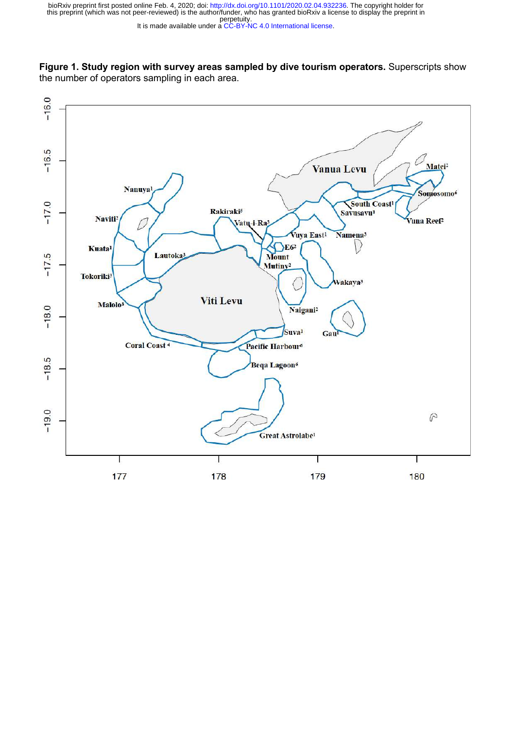It is made available under a [CC-BY-NC 4.0 International license.](http://creativecommons.org/licenses/by-nc/4.0/) perpetuity. this preprint (which was not peer-reviewed) is the author/funder, who has granted bioRxiv a license to display the preprint in bioRxiv preprint first posted online Feb. 4, 2020; doi: [http://dx.doi.org/10.1101/2020.02.04.932236.](http://dx.doi.org/10.1101/2020.02.04.932236) The copyright holder for



the number of operators sampling in each area.

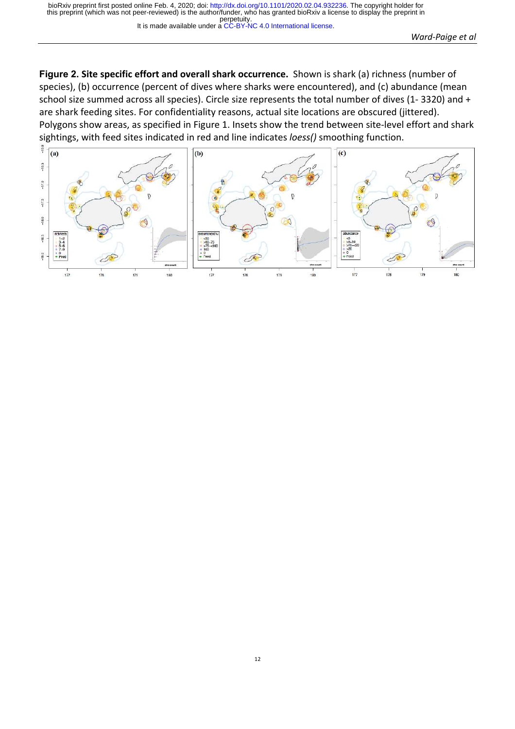**Figure 2. Site specific effort and overall shark occurrence.** Shown is shark (a) richness (number of species), (b) occurrence (percent of dives where sharks were encountered), and (c) abundance (mean school size summed across all species). Circle size represents the total number of dives (1- 3320) and + are shark feeding sites. For confidentiality reasons, actual site locations are obscured (jittered). Polygons show areas, as specified in Figure 1. Insets show the trend between site-level effort and shark sightings, with feed sites indicated in red and line indicates *loess()* smoothing function.

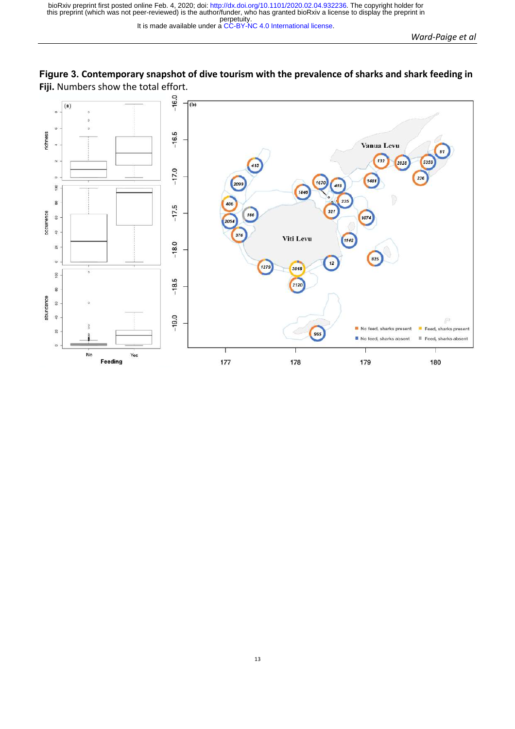

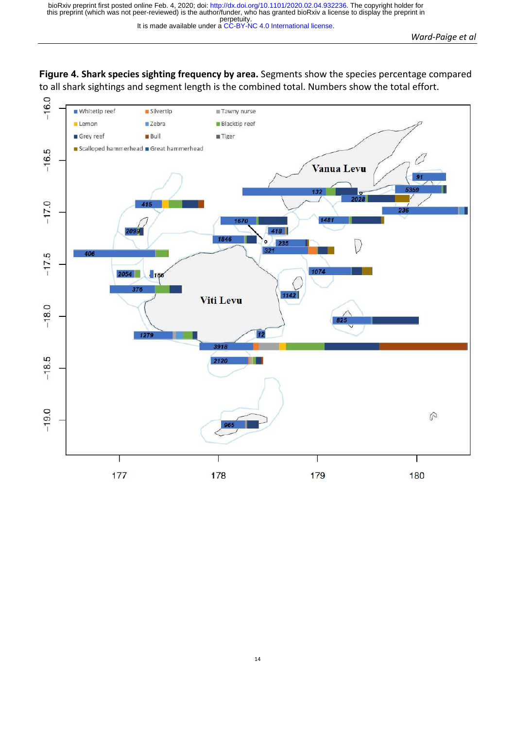**Figure 4. Shark species sighting frequency by area.** Segments show the species percentage compared to all shark sightings and segment length is the combined total. Numbers show the total effort.

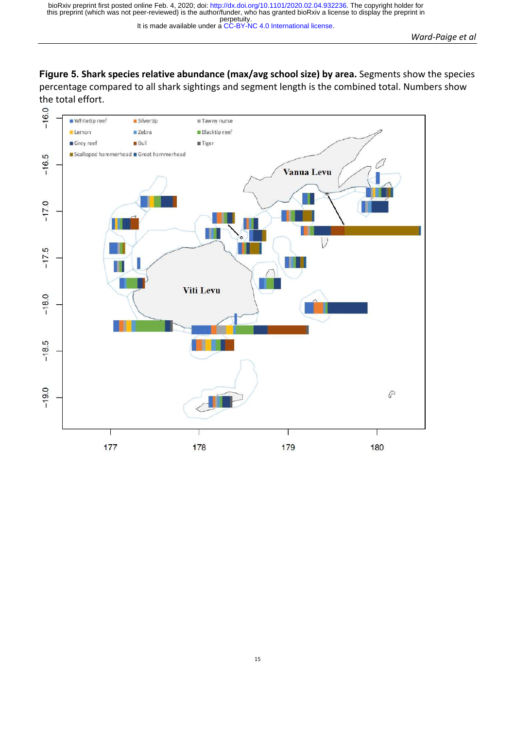**Figure 5. Shark species relative abundance (max/avg school size) by area.** Segments show the species percentage compared to all shark sightings and segment length is the combined total. Numbers show

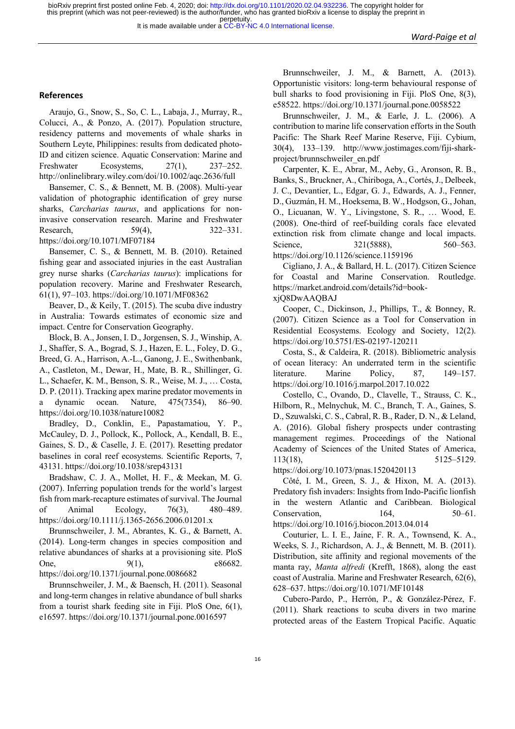It is made available under a [CC-BY-NC 4.0 International license.](http://creativecommons.org/licenses/by-nc/4.0/)

#### **References**

Araujo, G., Snow, S., So, C. L., Labaja, J., Murray, R., Colucci, A., & Ponzo, A. (2017). Population structure, residency patterns and movements of whale sharks in Southern Leyte, Philippines: results from dedicated photo-ID and citizen science. Aquatic Conservation: Marine and Freshwater Ecosystems, 27(1), 237–252. http://onlinelibrary.wiley.com/doi/10.1002/aqc.2636/full

Bansemer, C. S., & Bennett, M. B. (2008). Multi-year validation of photographic identification of grey nurse sharks, *Carcharias taurus*, and applications for noninvasive conservation research. Marine and Freshwater Research, 59(4), 322–331. https://doi.org/10.1071/MF07184

Bansemer, C. S., & Bennett, M. B. (2010). Retained fishing gear and associated injuries in the east Australian grey nurse sharks (*Carcharias taurus*): implications for population recovery. Marine and Freshwater Research, 61(1), 97–103. https://doi.org/10.1071/MF08362

Beaver, D., & Keily, T. (2015). The scuba dive industry in Australia: Towards estimates of economic size and impact. Centre for Conservation Geography.

Block, B. A., Jonsen, I. D., Jorgensen, S. J., Winship, A. J., Shaffer, S. A., Bograd, S. J., Hazen, E. L., Foley, D. G., Breed, G. A., Harrison, A.-L., Ganong, J. E., Swithenbank, A., Castleton, M., Dewar, H., Mate, B. R., Shillinger, G. L., Schaefer, K. M., Benson, S. R., Weise, M. J., … Costa, D. P. (2011). Tracking apex marine predator movements in a dynamic ocean. Nature, 475(7354), 86–90. https://doi.org/10.1038/nature10082

Bradley, D., Conklin, E., Papastamatiou, Y. P., McCauley, D. J., Pollock, K., Pollock, A., Kendall, B. E., Gaines, S. D., & Caselle, J. E. (2017). Resetting predator baselines in coral reef ecosystems. Scientific Reports, 7, 43131. https://doi.org/10.1038/srep43131

Bradshaw, C. J. A., Mollet, H. F., & Meekan, M. G. (2007). Inferring population trends for the world's largest fish from mark-recapture estimates of survival. The Journal of Animal Ecology, 76(3), 480–489. https://doi.org/10.1111/j.1365-2656.2006.01201.x

Brunnschweiler, J. M., Abrantes, K. G., & Barnett, A. (2014). Long-term changes in species composition and relative abundances of sharks at a provisioning site. PloS One, 9(1), e86682.

https://doi.org/10.1371/journal.pone.0086682

Brunnschweiler, J. M., & Baensch, H. (2011). Seasonal and long-term changes in relative abundance of bull sharks from a tourist shark feeding site in Fiji. PloS One, 6(1), e16597. https://doi.org/10.1371/journal.pone.0016597

Brunnschweiler, J. M., & Barnett, A. (2013). Opportunistic visitors: long-term behavioural response of bull sharks to food provisioning in Fiji. PloS One, 8(3), e58522. https://doi.org/10.1371/journal.pone.0058522

Brunnschweiler, J. M., & Earle, J. L. (2006). A contribution to marine life conservation efforts in the South Pacific: The Shark Reef Marine Reserve, Fiji. Cybium, 30(4), 133–139. http://www.jostimages.com/fiji-sharkproject/brunnschweiler\_en.pdf

Carpenter, K. E., Abrar, M., Aeby, G., Aronson, R. B., Banks, S., Bruckner, A., Chiriboga, A., Cortés, J., Delbeek, J. C., Devantier, L., Edgar, G. J., Edwards, A. J., Fenner, D., Guzmán, H. M., Hoeksema, B. W., Hodgson, G., Johan, O., Licuanan, W. Y., Livingstone, S. R., … Wood, E. (2008). One-third of reef-building corals face elevated extinction risk from climate change and local impacts. Science, 321(5888), 560–563.

https://doi.org/10.1126/science.1159196

Cigliano, J. A., & Ballard, H. L. (2017). Citizen Science for Coastal and Marine Conservation. Routledge. https://market.android.com/details?id=bookxjQ8DwAAQBAJ

Cooper, C., Dickinson, J., Phillips, T., & Bonney, R. (2007). Citizen Science as a Tool for Conservation in Residential Ecosystems. Ecology and Society, 12(2). https://doi.org/10.5751/ES-02197-120211

Costa, S., & Caldeira, R. (2018). Bibliometric analysis of ocean literacy: An underrated term in the scientific literature. Marine Policy, 87, 149–157. https://doi.org/10.1016/j.marpol.2017.10.022

Costello, C., Ovando, D., Clavelle, T., Strauss, C. K., Hilborn, R., Melnychuk, M. C., Branch, T. A., Gaines, S. D., Szuwalski, C. S., Cabral, R. B., Rader, D. N., & Leland, A. (2016). Global fishery prospects under contrasting management regimes. Proceedings of the National Academy of Sciences of the United States of America, 113(18), 5125–5129.

https://doi.org/10.1073/pnas.1520420113

Côté, I. M., Green, S. J., & Hixon, M. A. (2013). Predatory fish invaders: Insights from Indo-Pacific lionfish in the western Atlantic and Caribbean. Biological Conservation, 164, 50–61. https://doi.org/10.1016/j.biocon.2013.04.014

Couturier, L. I. E., Jaine, F. R. A., Townsend, K. A.,

Weeks, S. J., Richardson, A. J., & Bennett, M. B. (2011). Distribution, site affinity and regional movements of the manta ray, *Manta alfredi* (Krefft, 1868), along the east coast of Australia. Marine and Freshwater Research, 62(6), 628–637. https://doi.org/10.1071/MF10148

Cubero-Pardo, P., Herrón, P., & González-Pérez, F. (2011). Shark reactions to scuba divers in two marine protected areas of the Eastern Tropical Pacific. Aquatic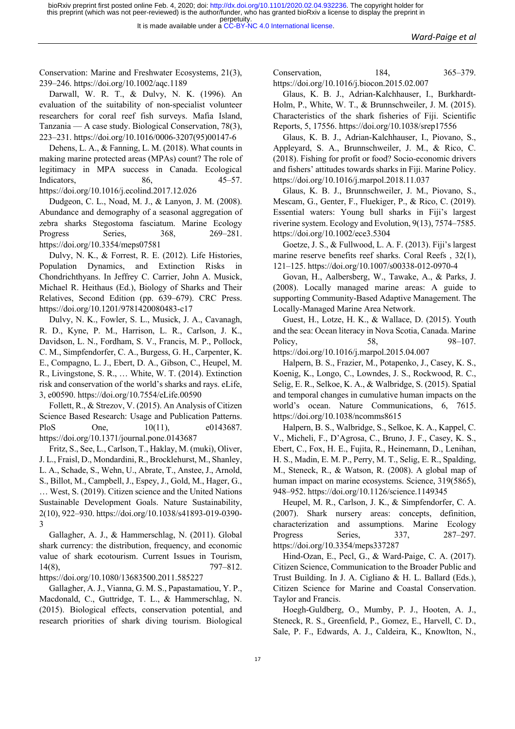Conservation: Marine and Freshwater Ecosystems, 21(3), 239–246. https://doi.org/10.1002/aqc.1189

Darwall, W. R. T., & Dulvy, N. K. (1996). An evaluation of the suitability of non-specialist volunteer researchers for coral reef fish surveys. Mafia Island, Tanzania — A case study. Biological Conservation, 78(3), 223–231. https://doi.org/10.1016/0006-3207(95)00147-6

Dehens, L. A., & Fanning, L. M. (2018). What counts in making marine protected areas (MPAs) count? The role of legitimacy in MPA success in Canada. Ecological Indicators, 86, 45–57. https://doi.org/10.1016/j.ecolind.2017.12.026

Dudgeon, C. L., Noad, M. J., & Lanyon, J. M. (2008). Abundance and demography of a seasonal aggregation of zebra sharks Stegostoma fasciatum. Marine Ecology Progress Series, 368, 269–281. https://doi.org/10.3354/meps07581

Dulvy, N. K., & Forrest, R. E. (2012). Life Histories, Population Dynamics, and Extinction Risks in Chondrichthyans. In Jeffrey C. Carrier, John A. Musick, Michael R. Heithaus (Ed.), Biology of Sharks and Their Relatives, Second Edition (pp. 639–679). CRC Press. https://doi.org/10.1201/9781420080483-c17

Dulvy, N. K., Fowler, S. L., Musick, J. A., Cavanagh, R. D., Kyne, P. M., Harrison, L. R., Carlson, J. K., Davidson, L. N., Fordham, S. V., Francis, M. P., Pollock, C. M., Simpfendorfer, C. A., Burgess, G. H., Carpenter, K. E., Compagno, L. J., Ebert, D. A., Gibson, C., Heupel, M. R., Livingstone, S. R., … White, W. T. (2014). Extinction risk and conservation of the world's sharks and rays. eLife, 3, e00590. https://doi.org/10.7554/eLife.00590

Follett, R., & Strezov, V. (2015). An Analysis of Citizen Science Based Research: Usage and Publication Patterns. PloS One,  $10(11)$ , e0143687. https://doi.org/10.1371/journal.pone.0143687

Fritz, S., See, L., Carlson, T., Haklay, M. (muki), Oliver, J. L., Fraisl, D., Mondardini, R., Brocklehurst, M., Shanley, L. A., Schade, S., Wehn, U., Abrate, T., Anstee, J., Arnold, S., Billot, M., Campbell, J., Espey, J., Gold, M., Hager, G., … West, S. (2019). Citizen science and the United Nations Sustainable Development Goals. Nature Sustainability, 2(10), 922–930. https://doi.org/10.1038/s41893-019-0390- 3

Gallagher, A. J., & Hammerschlag, N. (2011). Global shark currency: the distribution, frequency, and economic value of shark ecotourism. Current Issues in Tourism, 14(8), 797–812.

https://doi.org/10.1080/13683500.2011.585227

Gallagher, A. J., Vianna, G. M. S., Papastamatiou, Y. P., Macdonald, C., Guttridge, T. L., & Hammerschlag, N. (2015). Biological effects, conservation potential, and research priorities of shark diving tourism. Biological

Conservation, 184, 365–379. https://doi.org/10.1016/j.biocon.2015.02.007

Glaus, K. B. J., Adrian-Kalchhauser, I., Burkhardt-Holm, P., White, W. T., & Brunnschweiler, J. M. (2015). Characteristics of the shark fisheries of Fiji. Scientific Reports, 5, 17556. https://doi.org/10.1038/srep17556

Glaus, K. B. J., Adrian-Kalchhauser, I., Piovano, S., Appleyard, S. A., Brunnschweiler, J. M., & Rico, C. (2018). Fishing for profit or food? Socio-economic drivers and fishers' attitudes towards sharks in Fiji. Marine Policy. https://doi.org/10.1016/j.marpol.2018.11.037

Glaus, K. B. J., Brunnschweiler, J. M., Piovano, S., Mescam, G., Genter, F., Fluekiger, P., & Rico, C. (2019). Essential waters: Young bull sharks in Fiji's largest riverine system. Ecology and Evolution, 9(13), 7574–7585. https://doi.org/10.1002/ece3.5304

Goetze, J. S., & Fullwood, L. A. F. (2013). Fiji's largest marine reserve benefits reef sharks. Coral Reefs , 32(1), 121–125. https://doi.org/10.1007/s00338-012-0970-4

Govan, H., Aalbersberg, W., Tawake, A., & Parks, J. (2008). Locally managed marine areas: A guide to supporting Community-Based Adaptive Management. The Locally-Managed Marine Area Network.

Guest, H., Lotze, H. K., & Wallace, D. (2015). Youth and the sea: Ocean literacy in Nova Scotia, Canada. Marine Policy, 58, 98–107. https://doi.org/10.1016/j.marpol.2015.04.007

Halpern, B. S., Frazier, M., Potapenko, J., Casey, K. S.,

Koenig, K., Longo, C., Lowndes, J. S., Rockwood, R. C., Selig, E. R., Selkoe, K. A., & Walbridge, S. (2015). Spatial and temporal changes in cumulative human impacts on the world's ocean. Nature Communications, 6, 7615. https://doi.org/10.1038/ncomms8615

Halpern, B. S., Walbridge, S., Selkoe, K. A., Kappel, C. V., Micheli, F., D'Agrosa, C., Bruno, J. F., Casey, K. S., Ebert, C., Fox, H. E., Fujita, R., Heinemann, D., Lenihan, H. S., Madin, E. M. P., Perry, M. T., Selig, E. R., Spalding, M., Steneck, R., & Watson, R. (2008). A global map of human impact on marine ecosystems. Science, 319(5865), 948–952. https://doi.org/10.1126/science.1149345

Heupel, M. R., Carlson, J. K., & Simpfendorfer, C. A. (2007). Shark nursery areas: concepts, definition, characterization and assumptions. Marine Ecology Progress Series, 337, 287–297. https://doi.org/10.3354/meps337287

Hind-Ozan, E., Pecl, G., & Ward-Paige, C. A. (2017). Citizen Science, Communication to the Broader Public and Trust Building. In J. A. Cigliano & H. L. Ballard (Eds.), Citizen Science for Marine and Coastal Conservation. Taylor and Francis.

Hoegh-Guldberg, O., Mumby, P. J., Hooten, A. J., Steneck, R. S., Greenfield, P., Gomez, E., Harvell, C. D., Sale, P. F., Edwards, A. J., Caldeira, K., Knowlton, N.,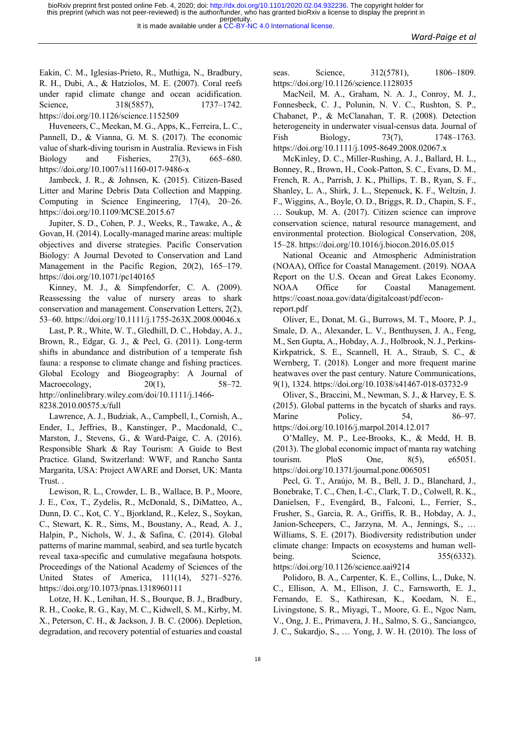Eakin, C. M., Iglesias-Prieto, R., Muthiga, N., Bradbury, R. H., Dubi, A., & Hatziolos, M. E. (2007). Coral reefs under rapid climate change and ocean acidification. Science, 318(5857), 1737–1742. https://doi.org/10.1126/science.1152509

Huveneers, C., Meekan, M. G., Apps, K., Ferreira, L. C., Pannell, D., & Vianna, G. M. S. (2017). The economic value of shark-diving tourism in Australia. Reviews in Fish Biology and Fisheries, 27(3), 665–680. https://doi.org/10.1007/s11160-017-9486-x

Jambeck, J. R., & Johnsen, K. (2015). Citizen-Based Litter and Marine Debris Data Collection and Mapping. Computing in Science Engineering, 17(4), 20–26. https://doi.org/10.1109/MCSE.2015.67

Jupiter, S. D., Cohen, P. J., Weeks, R., Tawake, A., & Govan, H. (2014). Locally-managed marine areas: multiple objectives and diverse strategies. Pacific Conservation Biology: A Journal Devoted to Conservation and Land Management in the Pacific Region, 20(2), 165–179. https://doi.org/10.1071/pc140165

Kinney, M. J., & Simpfendorfer, C. A. (2009). Reassessing the value of nursery areas to shark conservation and management. Conservation Letters, 2(2), 53–60. https://doi.org/10.1111/j.1755-263X.2008.00046.x

Last, P. R., White, W. T., Gledhill, D. C., Hobday, A. J., Brown, R., Edgar, G. J., & Pecl, G. (2011). Long-term shifts in abundance and distribution of a temperate fish fauna: a response to climate change and fishing practices. Global Ecology and Biogeography: A Journal of Macroecology,  $20(1)$ ,  $58-72$ . http://onlinelibrary.wiley.com/doi/10.1111/j.1466- 8238.2010.00575.x/full

Lawrence, A. J., Budziak, A., Campbell, I., Cornish, A., Ender, I., Jeffries, B., Kanstinger, P., Macdonald, C., Marston, J., Stevens, G., & Ward-Paige, C. A. (2016). Responsible Shark & Ray Tourism: A Guide to Best Practice. Gland, Switzerland: WWF, and Rancho Santa Margarita, USA: Project AWARE and Dorset, UK: Manta Trust. .

Lewison, R. L., Crowder, L. B., Wallace, B. P., Moore, J. E., Cox, T., Zydelis, R., McDonald, S., DiMatteo, A., Dunn, D. C., Kot, C. Y., Bjorkland, R., Kelez, S., Soykan, C., Stewart, K. R., Sims, M., Boustany, A., Read, A. J., Halpin, P., Nichols, W. J., & Safina, C. (2014). Global patterns of marine mammal, seabird, and sea turtle bycatch reveal taxa-specific and cumulative megafauna hotspots. Proceedings of the National Academy of Sciences of the United States of America, 111(14), 5271–5276. https://doi.org/10.1073/pnas.1318960111

Lotze, H. K., Lenihan, H. S., Bourque, B. J., Bradbury, R. H., Cooke, R. G., Kay, M. C., Kidwell, S. M., Kirby, M. X., Peterson, C. H., & Jackson, J. B. C. (2006). Depletion, degradation, and recovery potential of estuaries and coastal

seas. Science, 312(5781), 1806–1809. https://doi.org/10.1126/science.1128035

MacNeil, M. A., Graham, N. A. J., Conroy, M. J., Fonnesbeck, C. J., Polunin, N. V. C., Rushton, S. P., Chabanet, P., & McClanahan, T. R. (2008). Detection heterogeneity in underwater visual-census data. Journal of Fish Biology, 73(7), 1748–1763. https://doi.org/10.1111/j.1095-8649.2008.02067.x

McKinley, D. C., Miller-Rushing, A. J., Ballard, H. L., Bonney, R., Brown, H., Cook-Patton, S. C., Evans, D. M., French, R. A., Parrish, J. K., Phillips, T. B., Ryan, S. F., Shanley, L. A., Shirk, J. L., Stepenuck, K. F., Weltzin, J. F., Wiggins, A., Boyle, O. D., Briggs, R. D., Chapin, S. F., … Soukup, M. A. (2017). Citizen science can improve conservation science, natural resource management, and environmental protection. Biological Conservation, 208, 15–28. https://doi.org/10.1016/j.biocon.2016.05.015

National Oceanic and Atmospheric Administration (NOAA), Office for Coastal Management. (2019). NOAA Report on the U.S. Ocean and Great Lakes Economy. NOAA Office for Coastal Management. https://coast.noaa.gov/data/digitalcoast/pdf/econreport.pdf

Oliver, E., Donat, M. G., Burrows, M. T., Moore, P. J., Smale, D. A., Alexander, L. V., Benthuysen, J. A., Feng, M., Sen Gupta, A., Hobday, A. J., Holbrook, N. J., Perkins-Kirkpatrick, S. E., Scannell, H. A., Straub, S. C., & Wernberg, T. (2018). Longer and more frequent marine heatwaves over the past century. Nature Communications, 9(1), 1324. https://doi.org/10.1038/s41467-018-03732-9

Oliver, S., Braccini, M., Newman, S. J., & Harvey, E. S. (2015). Global patterns in the bycatch of sharks and rays. Marine Policy, 54, 86–97. https://doi.org/10.1016/j.marpol.2014.12.017

O'Malley, M. P., Lee-Brooks, K., & Medd, H. B. (2013). The global economic impact of manta ray watching tourism. PloS One, 8(5), e65051. https://doi.org/10.1371/journal.pone.0065051

Pecl, G. T., Araújo, M. B., Bell, J. D., Blanchard, J., Bonebrake, T. C., Chen, I.-C., Clark, T. D., Colwell, R. K., Danielsen, F., Evengård, B., Falconi, L., Ferrier, S., Frusher, S., Garcia, R. A., Griffis, R. B., Hobday, A. J., Janion-Scheepers, C., Jarzyna, M. A., Jennings, S., … Williams, S. E. (2017). Biodiversity redistribution under climate change: Impacts on ecosystems and human wellbeing. Science, 355(6332). https://doi.org/10.1126/science.aai9214

Polidoro, B. A., Carpenter, K. E., Collins, L., Duke, N. C., Ellison, A. M., Ellison, J. C., Farnsworth, E. J., Fernando, E. S., Kathiresan, K., Koedam, N. E., Livingstone, S. R., Miyagi, T., Moore, G. E., Ngoc Nam, V., Ong, J. E., Primavera, J. H., Salmo, S. G., Sanciangco, J. C., Sukardjo, S., … Yong, J. W. H. (2010). The loss of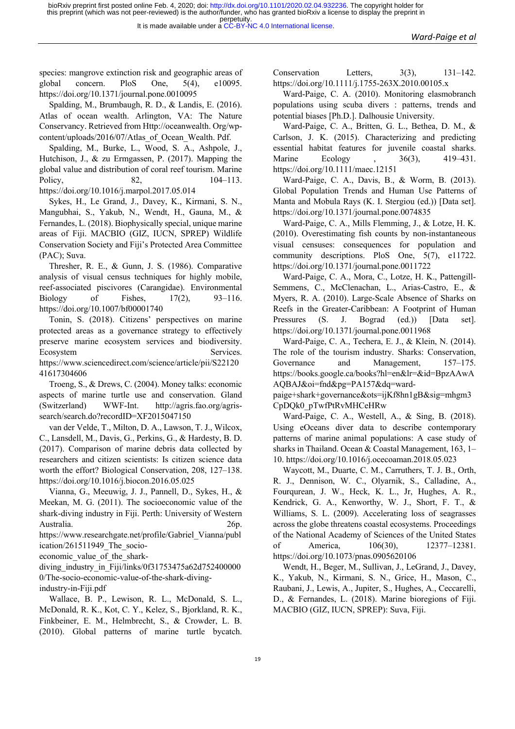species: mangrove extinction risk and geographic areas of global concern. PloS One, 5(4), e10095. https://doi.org/10.1371/journal.pone.0010095

Spalding, M., Brumbaugh, R. D., & Landis, E. (2016). Atlas of ocean wealth. Arlington, VA: The Nature Conservancy. Retrieved from Http://oceanwealth. Org/wpcontent/uploads/2016/07/Atlas\_of\_Ocean\_Wealth. Pdf.

Spalding, M., Burke, L., Wood, S. A., Ashpole, J., Hutchison, J., & zu Ermgassen, P. (2017). Mapping the global value and distribution of coral reef tourism. Marine Policy, 82, 104–113. https://doi.org/10.1016/j.marpol.2017.05.014

Sykes, H., Le Grand, J., Davey, K., Kirmani, S. N., Mangubhai, S., Yakub, N., Wendt, H., Gauna, M., & Fernandes, L. (2018). Biophysically special, unique marine areas of Fiji. MACBIO (GIZ, IUCN, SPREP) Wildlife Conservation Society and Fiji's Protected Area Committee (PAC); Suva.

Thresher, R. E., & Gunn, J. S. (1986). Comparative analysis of visual census techniques for highly mobile, reef-associated piscivores (Carangidae). Environmental Biology of Fishes, 17(2), 93–116. https://doi.org/10.1007/bf00001740

Tonin, S. (2018). Citizens' perspectives on marine protected areas as a governance strategy to effectively preserve marine ecosystem services and biodiversity. Ecosystem Services. https://www.sciencedirect.com/science/article/pii/S22120 41617304606

Troeng, S., & Drews, C. (2004). Money talks: economic aspects of marine turtle use and conservation. Gland (Switzerland) WWF-Int. http://agris.fao.org/agrissearch/search.do?recordID=XF2015047150

van der Velde, T., Milton, D. A., Lawson, T. J., Wilcox, C., Lansdell, M., Davis, G., Perkins, G., & Hardesty, B. D. (2017). Comparison of marine debris data collected by researchers and citizen scientists: Is citizen science data worth the effort? Biological Conservation, 208, 127–138. https://doi.org/10.1016/j.biocon.2016.05.025

Vianna, G., Meeuwig, J. J., Pannell, D., Sykes, H., & Meekan, M. G. (2011). The socioeconomic value of the shark-diving industry in Fiji. Perth: University of Western Australia. 26p.

https://www.researchgate.net/profile/Gabriel\_Vianna/publ ication/261511949 The socio-

economic\_value\_of\_the\_shark-

diving\_industry\_in\_Fiji/links/0f31753475a62d752400000 0/The-socio-economic-value-of-the-shark-divingindustry-in-Fiji.pdf

Wallace, B. P., Lewison, R. L., McDonald, S. L., McDonald, R. K., Kot, C. Y., Kelez, S., Bjorkland, R. K., Finkbeiner, E. M., Helmbrecht, S., & Crowder, L. B. (2010). Global patterns of marine turtle bycatch.

Conservation Letters,  $3(3)$ ,  $131-142$ . https://doi.org/10.1111/j.1755-263X.2010.00105.x

Ward-Paige, C. A. (2010). Monitoring elasmobranch populations using scuba divers : patterns, trends and potential biases [Ph.D.]. Dalhousie University.

Ward-Paige, C. A., Britten, G. L., Bethea, D. M., & Carlson, J. K. (2015). Characterizing and predicting essential habitat features for juvenile coastal sharks. Marine Ecology , 36(3), 419–431. https://doi.org/10.1111/maec.12151

Ward-Paige, C. A., Davis, B., & Worm, B. (2013). Global Population Trends and Human Use Patterns of Manta and Mobula Rays (K. I. Stergiou (ed.)) [Data set]. https://doi.org/10.1371/journal.pone.0074835

Ward-Paige, C. A., Mills Flemming, J., & Lotze, H. K. (2010). Overestimating fish counts by non-instantaneous visual censuses: consequences for population and community descriptions. PloS One, 5(7), e11722. https://doi.org/10.1371/journal.pone.0011722

Ward-Paige, C. A., Mora, C., Lotze, H. K., Pattengill-Semmens, C., McClenachan, L., Arias-Castro, E., & Myers, R. A. (2010). Large-Scale Absence of Sharks on Reefs in the Greater-Caribbean: A Footprint of Human Pressures (S. J. Bograd (ed.)) [Data set]. https://doi.org/10.1371/journal.pone.0011968

Ward-Paige, C. A., Techera, E. J., & Klein, N. (2014). The role of the tourism industry. Sharks: Conservation, Governance and Management, 157–175. https://books.google.ca/books?hl=en&lr=&id=BpzAAwA AQBAJ&oi=fnd&pg=PA157&dq=ward-

paige+shark+governance&ots=ijKf8hn1gB&sig=mhgm3 CpDQk0\_pTwfPtRvMHCeHRw

Ward-Paige, C. A., Westell, A., & Sing, B. (2018). Using eOceans diver data to describe contemporary patterns of marine animal populations: A case study of sharks in Thailand. Ocean & Coastal Management, 163, 1– 10. https://doi.org/10.1016/j.ocecoaman.2018.05.023

Waycott, M., Duarte, C. M., Carruthers, T. J. B., Orth, R. J., Dennison, W. C., Olyarnik, S., Calladine, A., Fourqurean, J. W., Heck, K. L., Jr, Hughes, A. R., Kendrick, G. A., Kenworthy, W. J., Short, F. T., & Williams, S. L. (2009). Accelerating loss of seagrasses across the globe threatens coastal ecosystems. Proceedings of the National Academy of Sciences of the United States of America, 106(30), 12377–12381. https://doi.org/10.1073/pnas.0905620106

Wendt, H., Beger, M., Sullivan, J., LeGrand, J., Davey, K., Yakub, N., Kirmani, S. N., Grice, H., Mason, C., Raubani, J., Lewis, A., Jupiter, S., Hughes, A., Ceccarelli, D., & Fernandes, L. (2018). Marine bioregions of Fiji. MACBIO (GIZ, IUCN, SPREP): Suva, Fiji.